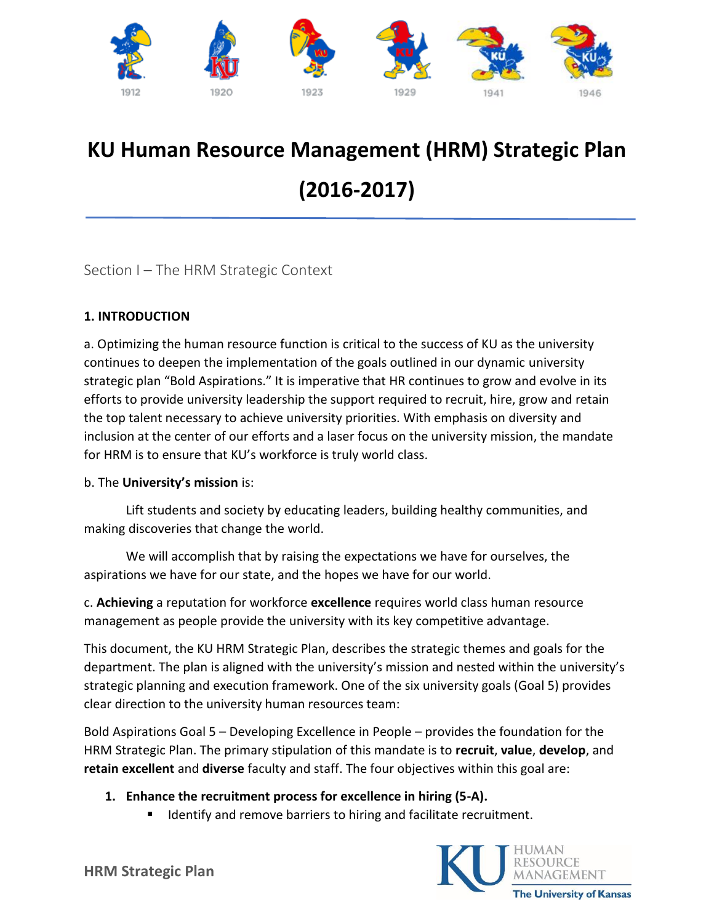

# **KU Human Resource Management (HRM) Strategic Plan (2016-2017)**

Section I – The HRM Strategic Context

# **1. INTRODUCTION**

a. Optimizing the human resource function is critical to the success of KU as the university continues to deepen the implementation of the goals outlined in our dynamic university strategic plan "Bold Aspirations." It is imperative that HR continues to grow and evolve in its efforts to provide university leadership the support required to recruit, hire, grow and retain the top talent necessary to achieve university priorities. With emphasis on diversity and inclusion at the center of our efforts and a laser focus on the university mission, the mandate for HRM is to ensure that KU's workforce is truly world class.

## b. The **University's mission** is:

Lift students and society by educating leaders, building healthy communities, and making discoveries that change the world.

We will accomplish that by raising the expectations we have for ourselves, the aspirations we have for our state, and the hopes we have for our world.

c. **Achieving** a reputation for workforce **excellence** requires world class human resource management as people provide the university with its key competitive advantage.

This document, the KU HRM Strategic Plan, describes the strategic themes and goals for the department. The plan is aligned with the university's mission and nested within the university's strategic planning and execution framework. One of the six university goals (Goal 5) provides clear direction to the university human resources team:

Bold Aspirations Goal 5 – Developing Excellence in People – provides the foundation for the HRM Strategic Plan. The primary stipulation of this mandate is to **recruit**, **value**, **develop**, and **retain excellent** and **diverse** faculty and staff. The four objectives within this goal are:

- **1. Enhance the recruitment process for excellence in hiring (5-A).**
	- **If all identify and remove barriers to hiring and facilitate recruitment.**

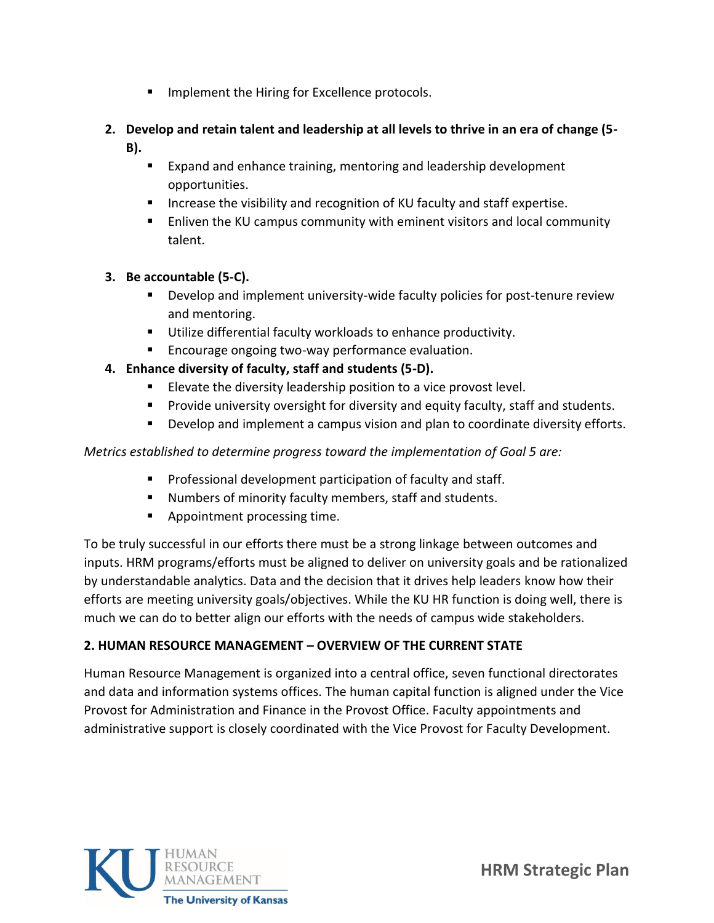- **IMPLEMENT ING.** Hiring for Excellence protocols.
- **2. Develop and retain talent and leadership at all levels to thrive in an era of change (5- B).**
	- **Expand and enhance training, mentoring and leadership development** opportunities.
	- **Increase the visibility and recognition of KU faculty and staff expertise.**
	- Enliven the KU campus community with eminent visitors and local community talent.

## **3. Be accountable (5-C).**

- Develop and implement university-wide faculty policies for post-tenure review and mentoring.
- Utilize differential faculty workloads to enhance productivity.
- **Encourage ongoing two-way performance evaluation.**
- **4. Enhance diversity of faculty, staff and students (5-D).** 
	- Elevate the diversity leadership position to a vice provost level.
	- Provide university oversight for diversity and equity faculty, staff and students.
	- Develop and implement a campus vision and plan to coordinate diversity efforts.

## *Metrics established to determine progress toward the implementation of Goal 5 are:*

- **Professional development participation of faculty and staff.**
- Numbers of minority faculty members, staff and students.
- **Appointment processing time.**

To be truly successful in our efforts there must be a strong linkage between outcomes and inputs. HRM programs/efforts must be aligned to deliver on university goals and be rationalized by understandable analytics. Data and the decision that it drives help leaders know how their efforts are meeting university goals/objectives. While the KU HR function is doing well, there is much we can do to better align our efforts with the needs of campus wide stakeholders.

## **2. HUMAN RESOURCE MANAGEMENT – OVERVIEW OF THE CURRENT STATE**

Human Resource Management is organized into a central office, seven functional directorates and data and information systems offices. The human capital function is aligned under the Vice Provost for Administration and Finance in the Provost Office. Faculty appointments and administrative support is closely coordinated with the Vice Provost for Faculty Development.

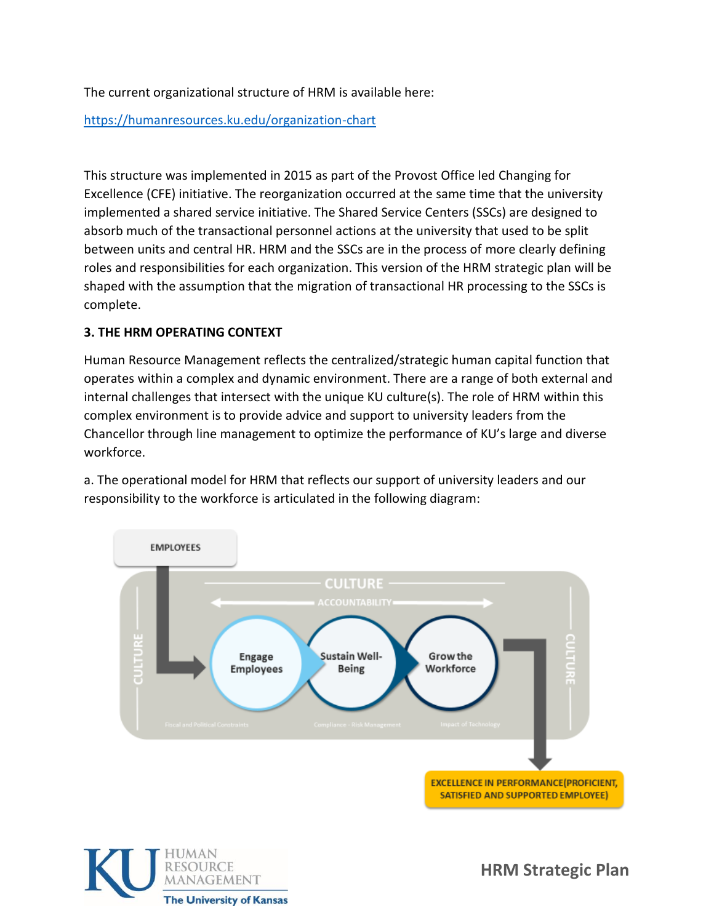The current organizational structure of HRM is available here:

<https://humanresources.ku.edu/organization-chart>

This structure was implemented in 2015 as part of the Provost Office led Changing for Excellence (CFE) initiative. The reorganization occurred at the same time that the university implemented a shared service initiative. The Shared Service Centers (SSCs) are designed to absorb much of the transactional personnel actions at the university that used to be split between units and central HR. HRM and the SSCs are in the process of more clearly defining roles and responsibilities for each organization. This version of the HRM strategic plan will be shaped with the assumption that the migration of transactional HR processing to the SSCs is complete.

## **3. THE HRM OPERATING CONTEXT**

Human Resource Management reflects the centralized/strategic human capital function that operates within a complex and dynamic environment. There are a range of both external and internal challenges that intersect with the unique KU culture(s). The role of HRM within this complex environment is to provide advice and support to university leaders from the Chancellor through line management to optimize the performance of KU's large and diverse workforce.

a. The operational model for HRM that reflects our support of university leaders and our responsibility to the workforce is articulated in the following diagram:



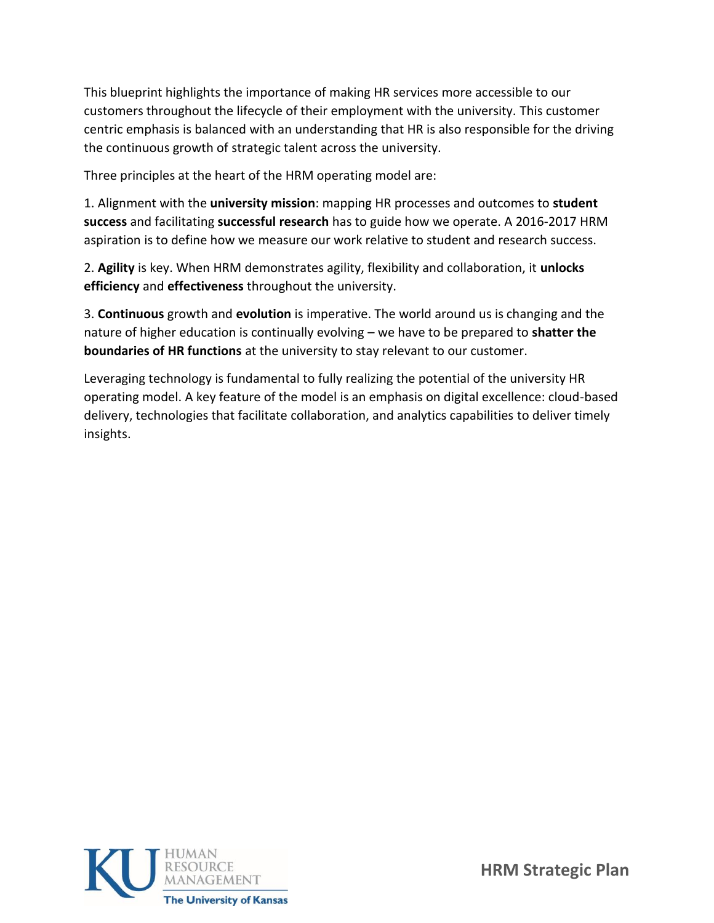This blueprint highlights the importance of making HR services more accessible to our customers throughout the lifecycle of their employment with the university. This customer centric emphasis is balanced with an understanding that HR is also responsible for the driving the continuous growth of strategic talent across the university.

Three principles at the heart of the HRM operating model are:

1. Alignment with the **university mission**: mapping HR processes and outcomes to **student success** and facilitating **successful research** has to guide how we operate. A 2016-2017 HRM aspiration is to define how we measure our work relative to student and research success.

2. **Agility** is key. When HRM demonstrates agility, flexibility and collaboration, it **unlocks efficiency** and **effectiveness** throughout the university.

3. **Continuous** growth and **evolution** is imperative. The world around us is changing and the nature of higher education is continually evolving – we have to be prepared to **shatter the boundaries of HR functions** at the university to stay relevant to our customer.

Leveraging technology is fundamental to fully realizing the potential of the university HR operating model. A key feature of the model is an emphasis on digital excellence: cloud-based delivery, technologies that facilitate collaboration, and analytics capabilities to deliver timely insights.

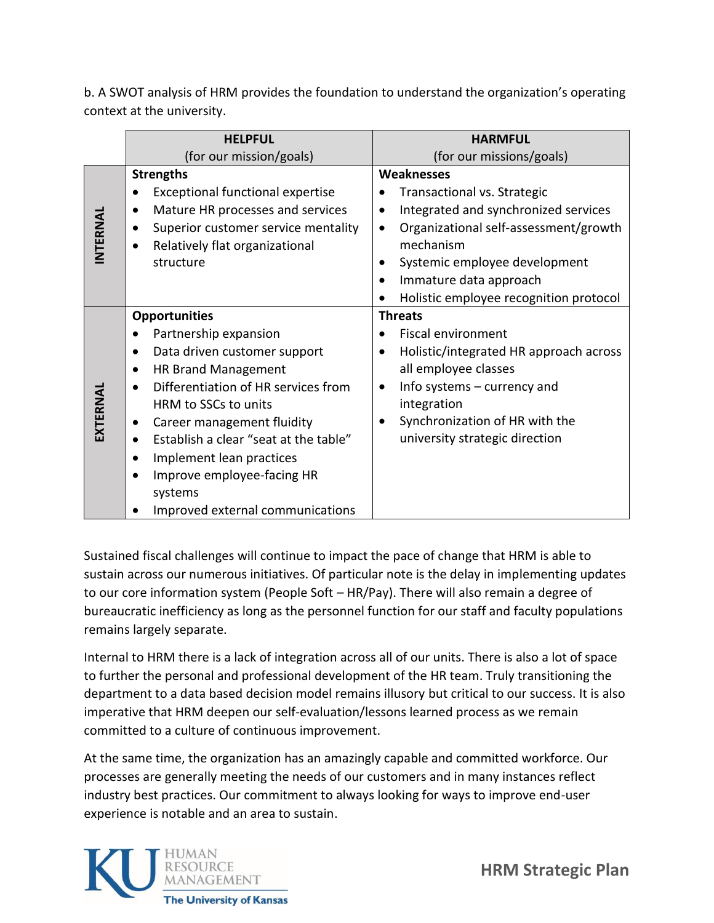b. A SWOT analysis of HRM provides the foundation to understand the organization's operating context at the university.

|          | <b>HELPFUL</b>                            | <b>HARMFUL</b>                                     |
|----------|-------------------------------------------|----------------------------------------------------|
|          | (for our mission/goals)                   | (for our missions/goals)                           |
|          | <b>Strengths</b>                          | <b>Weaknesses</b>                                  |
|          | <b>Exceptional functional expertise</b>   | Transactional vs. Strategic                        |
|          | Mature HR processes and services          | Integrated and synchronized services               |
|          | Superior customer service mentality       | Organizational self-assessment/growth<br>$\bullet$ |
| INTERNAL | Relatively flat organizational            | mechanism                                          |
|          | structure                                 | Systemic employee development                      |
|          |                                           | Immature data approach                             |
|          |                                           | Holistic employee recognition protocol             |
|          | <b>Opportunities</b>                      | <b>Threats</b>                                     |
|          | Partnership expansion                     | <b>Fiscal environment</b>                          |
|          | Data driven customer support<br>$\bullet$ | Holistic/integrated HR approach across             |
|          | <b>HR Brand Management</b>                | all employee classes                               |
|          | Differentiation of HR services from       | Info systems $-$ currency and                      |
|          | HRM to SSCs to units                      | integration                                        |
| EXTERNAL | Career management fluidity                | Synchronization of HR with the                     |
|          | Establish a clear "seat at the table"     | university strategic direction                     |
|          | Implement lean practices                  |                                                    |
|          | Improve employee-facing HR                |                                                    |
|          | systems                                   |                                                    |
|          | Improved external communications          |                                                    |

Sustained fiscal challenges will continue to impact the pace of change that HRM is able to sustain across our numerous initiatives. Of particular note is the delay in implementing updates to our core information system (People Soft – HR/Pay). There will also remain a degree of bureaucratic inefficiency as long as the personnel function for our staff and faculty populations remains largely separate.

Internal to HRM there is a lack of integration across all of our units. There is also a lot of space to further the personal and professional development of the HR team. Truly transitioning the department to a data based decision model remains illusory but critical to our success. It is also imperative that HRM deepen our self-evaluation/lessons learned process as we remain committed to a culture of continuous improvement.

At the same time, the organization has an amazingly capable and committed workforce. Our processes are generally meeting the needs of our customers and in many instances reflect industry best practices. Our commitment to always looking for ways to improve end-user experience is notable and an area to sustain.

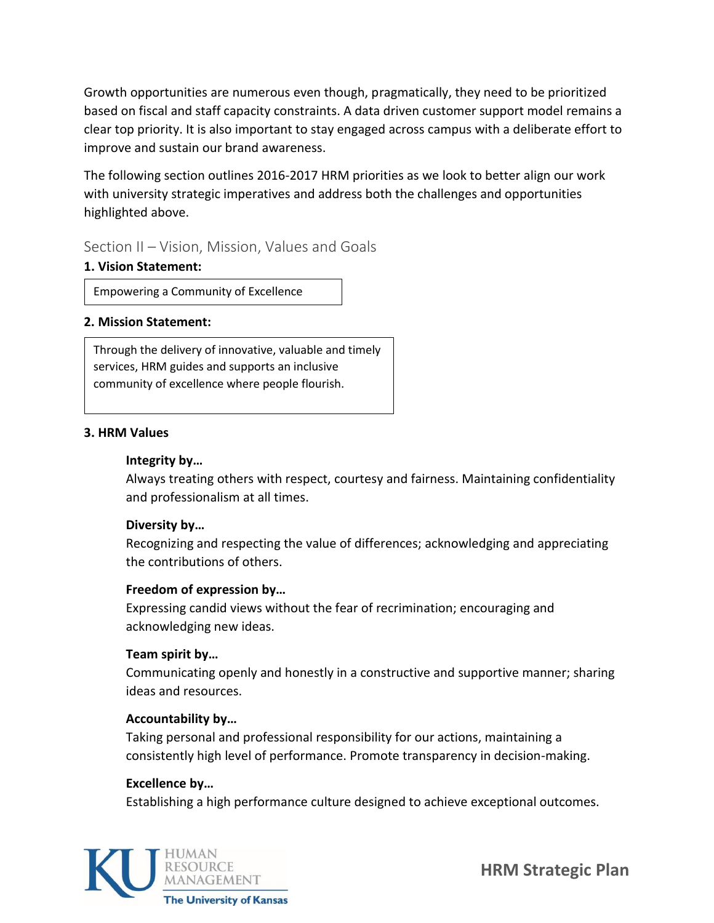Growth opportunities are numerous even though, pragmatically, they need to be prioritized based on fiscal and staff capacity constraints. A data driven customer support model remains a clear top priority. It is also important to stay engaged across campus with a deliberate effort to improve and sustain our brand awareness.

The following section outlines 2016-2017 HRM priorities as we look to better align our work with university strategic imperatives and address both the challenges and opportunities highlighted above.

# Section II – Vision, Mission, Values and Goals

## **1. Vision Statement:**

Empowering a Community of Excellence

## **2. Mission Statement:**

Through the delivery of innovative, valuable and timely services, HRM guides and supports an inclusive community of excellence where people flourish.

## **3. HRM Values**

## **Integrity by…**

Always treating others with respect, courtesy and fairness. Maintaining confidentiality and professionalism at all times.

# **Diversity by…**

Recognizing and respecting the value of differences; acknowledging and appreciating the contributions of others.

## **Freedom of expression by…**

Expressing candid views without the fear of recrimination; encouraging and acknowledging new ideas.

# **Team spirit by…**

Communicating openly and honestly in a constructive and supportive manner; sharing ideas and resources.

## **Accountability by…**

Taking personal and professional responsibility for our actions, maintaining a consistently high level of performance. Promote transparency in decision-making.

## **Excellence by…**

Establishing a high performance culture designed to achieve exceptional outcomes.

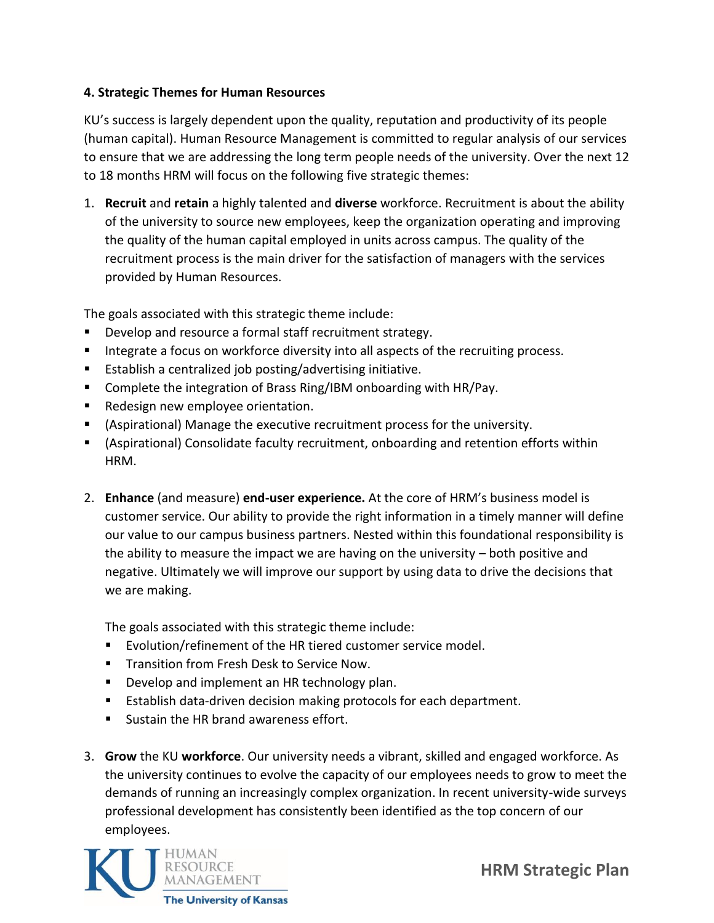## **4. Strategic Themes for Human Resources**

KU's success is largely dependent upon the quality, reputation and productivity of its people (human capital). Human Resource Management is committed to regular analysis of our services to ensure that we are addressing the long term people needs of the university. Over the next 12 to 18 months HRM will focus on the following five strategic themes:

1. **Recruit** and **retain** a highly talented and **diverse** workforce. Recruitment is about the ability of the university to source new employees, keep the organization operating and improving the quality of the human capital employed in units across campus. The quality of the recruitment process is the main driver for the satisfaction of managers with the services provided by Human Resources.

The goals associated with this strategic theme include:

- **Develop and resource a formal staff recruitment strategy.**
- Integrate a focus on workforce diversity into all aspects of the recruiting process.
- **Establish a centralized job posting/advertising initiative.**
- Complete the integration of Brass Ring/IBM onboarding with HR/Pay.
- **Redesign new employee orientation.**
- (Aspirational) Manage the executive recruitment process for the university.
- (Aspirational) Consolidate faculty recruitment, onboarding and retention efforts within HRM.
- 2. **Enhance** (and measure) **end-user experience.** At the core of HRM's business model is customer service. Our ability to provide the right information in a timely manner will define our value to our campus business partners. Nested within this foundational responsibility is the ability to measure the impact we are having on the university – both positive and negative. Ultimately we will improve our support by using data to drive the decisions that we are making.

The goals associated with this strategic theme include:

- Evolution/refinement of the HR tiered customer service model.
- **Transition from Fresh Desk to Service Now.**
- **Develop and implement an HR technology plan.**
- **Establish data-driven decision making protocols for each department.**
- Sustain the HR brand awareness effort.
- 3. **Grow** the KU **workforce**. Our university needs a vibrant, skilled and engaged workforce. As the university continues to evolve the capacity of our employees needs to grow to meet the demands of running an increasingly complex organization. In recent university-wide surveys professional development has consistently been identified as the top concern of our employees.

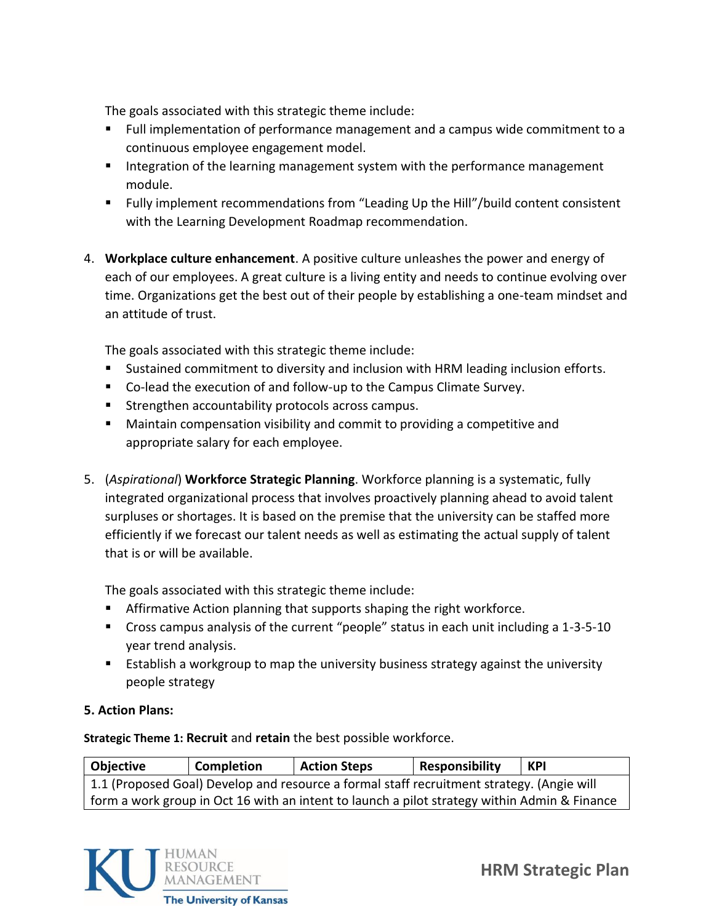The goals associated with this strategic theme include:

- Full implementation of performance management and a campus wide commitment to a continuous employee engagement model.
- **IF** Integration of the learning management system with the performance management module.
- Fully implement recommendations from "Leading Up the Hill"/build content consistent with the Learning Development Roadmap recommendation.
- 4. **Workplace culture enhancement**. A positive culture unleashes the power and energy of each of our employees. A great culture is a living entity and needs to continue evolving over time. Organizations get the best out of their people by establishing a one-team mindset and an attitude of trust.

The goals associated with this strategic theme include:

- Sustained commitment to diversity and inclusion with HRM leading inclusion efforts.
- Co-lead the execution of and follow-up to the Campus Climate Survey.
- **Strengthen accountability protocols across campus.**
- Maintain compensation visibility and commit to providing a competitive and appropriate salary for each employee.
- 5. (*Aspirational*) **Workforce Strategic Planning**. Workforce planning is a systematic, fully integrated organizational process that involves proactively planning ahead to avoid talent surpluses or shortages. It is based on the premise that the university can be staffed more efficiently if we forecast our talent needs as well as estimating the actual supply of talent that is or will be available.

The goals associated with this strategic theme include:

- **Affirmative Action planning that supports shaping the right workforce.**
- **Cross campus analysis of the current "people" status in each unit including a 1-3-5-10** year trend analysis.
- **E** Establish a workgroup to map the university business strategy against the university people strategy

## **5. Action Plans:**

**Strategic Theme 1: Recruit** and **retain** the best possible workforce.

| Objective                                                                                    | <b>Completion</b> | <b>Action Steps</b> | <b>Responsibility</b> | KPI |  |
|----------------------------------------------------------------------------------------------|-------------------|---------------------|-----------------------|-----|--|
| 1.1 (Proposed Goal) Develop and resource a formal staff recruitment strategy. (Angie will    |                   |                     |                       |     |  |
| form a work group in Oct 16 with an intent to launch a pilot strategy within Admin & Finance |                   |                     |                       |     |  |

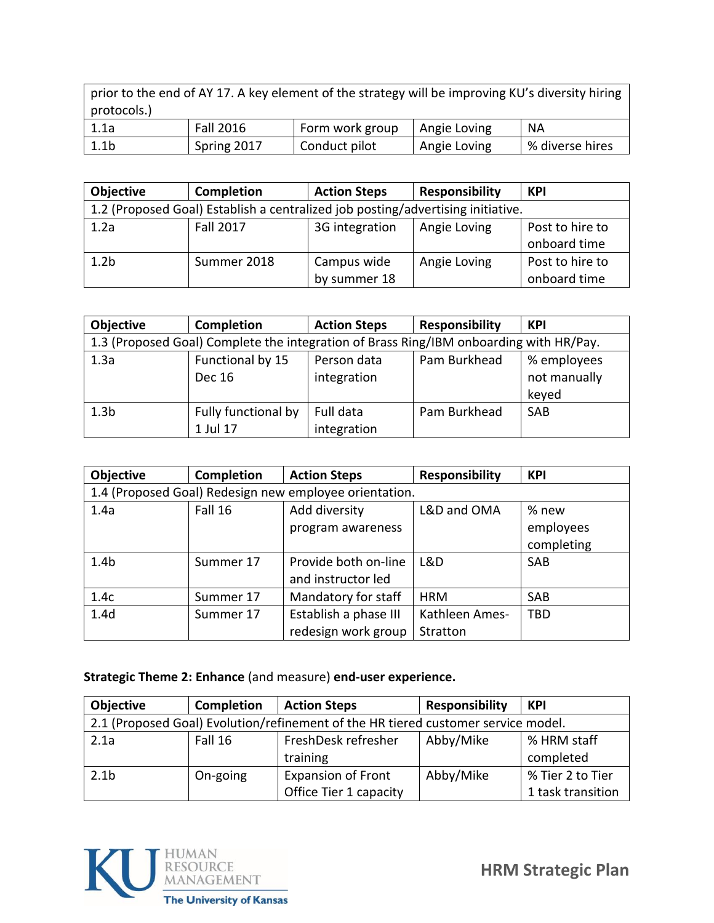prior to the end of AY 17. A key element of the strategy will be improving KU's diversity hiring protocols.)

| 1.1a | <b>Fall 2016</b> | Form work group | Angie Loving | ΝA              |
|------|------------------|-----------------|--------------|-----------------|
| 1.1b | Spring 2017      | Conduct pilot   | Angie Loving | % diverse hires |

| <b>Objective</b> | <b>Completion</b>                                                               | <b>Action Steps</b> | <b>Responsibility</b> | <b>KPI</b>      |  |
|------------------|---------------------------------------------------------------------------------|---------------------|-----------------------|-----------------|--|
|                  | 1.2 (Proposed Goal) Establish a centralized job posting/advertising initiative. |                     |                       |                 |  |
| 1.2a             | <b>Fall 2017</b>                                                                | 3G integration      | Angie Loving          | Post to hire to |  |
|                  |                                                                                 |                     |                       | onboard time    |  |
| 1.2 <sub>b</sub> | Summer 2018                                                                     | Campus wide         | Angie Loving          | Post to hire to |  |
|                  |                                                                                 | by summer 18        |                       | onboard time    |  |

| Objective        | <b>Completion</b>                                                                      | <b>Action Steps</b>        | <b>Responsibility</b> | <b>KPI</b>                           |  |  |
|------------------|----------------------------------------------------------------------------------------|----------------------------|-----------------------|--------------------------------------|--|--|
|                  | 1.3 (Proposed Goal) Complete the integration of Brass Ring/IBM onboarding with HR/Pay. |                            |                       |                                      |  |  |
| 1.3a             | Functional by 15<br>Dec 16                                                             | Person data<br>integration | Pam Burkhead          | % employees<br>not manually<br>keyed |  |  |
| 1.3 <sub>b</sub> | Fully functional by<br>1 Jul 17                                                        | Full data<br>integration   | Pam Burkhead          | <b>SAB</b>                           |  |  |

| Objective        | <b>Completion</b>                                      | <b>Action Steps</b>   | <b>Responsibility</b> | <b>KPI</b> |  |  |  |
|------------------|--------------------------------------------------------|-----------------------|-----------------------|------------|--|--|--|
|                  | 1.4 (Proposed Goal) Redesign new employee orientation. |                       |                       |            |  |  |  |
| 1.4a             | Fall 16                                                | Add diversity         | L&D and OMA           | % new      |  |  |  |
|                  |                                                        | program awareness     |                       | employees  |  |  |  |
|                  |                                                        |                       |                       | completing |  |  |  |
| 1.4 <sub>b</sub> | Summer 17                                              | Provide both on-line  | L&D                   | <b>SAB</b> |  |  |  |
|                  |                                                        | and instructor led    |                       |            |  |  |  |
| 1.4c             | Summer 17                                              | Mandatory for staff   | <b>HRM</b>            | <b>SAB</b> |  |  |  |
| 1.4 <sub>d</sub> | Summer 17                                              | Establish a phase III | Kathleen Ames-        | <b>TBD</b> |  |  |  |
|                  |                                                        | redesign work group   | Stratton              |            |  |  |  |

# **Strategic Theme 2: Enhance** (and measure) **end-user experience.**

| <b>Objective</b>                                                                  | Completion | <b>Action Steps</b>       | <b>Responsibility</b> | <b>KPI</b>        |
|-----------------------------------------------------------------------------------|------------|---------------------------|-----------------------|-------------------|
| 2.1 (Proposed Goal) Evolution/refinement of the HR tiered customer service model. |            |                           |                       |                   |
| 2.1a                                                                              | Fall 16    | FreshDesk refresher       | Abby/Mike             | % HRM staff       |
|                                                                                   |            | training                  |                       | completed         |
| 2.1 <sub>b</sub>                                                                  | On-going   | <b>Expansion of Front</b> | Abby/Mike             | % Tier 2 to Tier  |
|                                                                                   |            | Office Tier 1 capacity    |                       | 1 task transition |

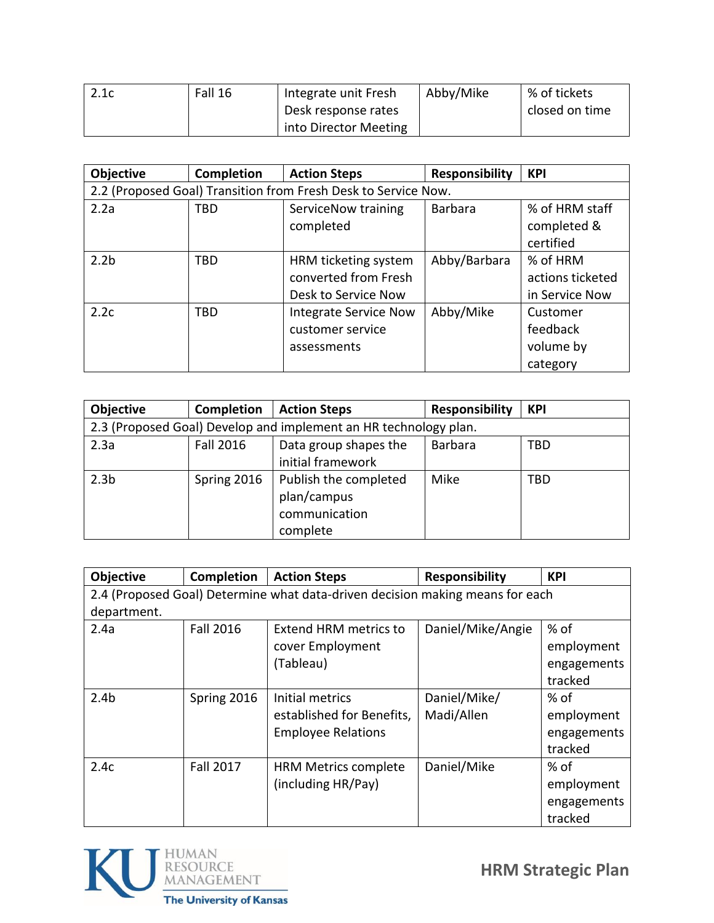| 2.1c | Fall 16 | Integrate unit Fresh  | Abby/Mike | % of tickets   |
|------|---------|-----------------------|-----------|----------------|
|      |         | Desk response rates   |           | closed on time |
|      |         | into Director Meeting |           |                |

| Objective                                                      | Completion | <b>Action Steps</b>          | <b>Responsibility</b> | <b>KPI</b>       |  |
|----------------------------------------------------------------|------------|------------------------------|-----------------------|------------------|--|
| 2.2 (Proposed Goal) Transition from Fresh Desk to Service Now. |            |                              |                       |                  |  |
| 2.2a                                                           | TBD        | ServiceNow training          | <b>Barbara</b>        | % of HRM staff   |  |
|                                                                |            | completed                    |                       | completed &      |  |
|                                                                |            |                              |                       | certified        |  |
| 2.2 <sub>b</sub>                                               | <b>TBD</b> | HRM ticketing system         | Abby/Barbara          | % of HRM         |  |
|                                                                |            | converted from Fresh         |                       | actions ticketed |  |
|                                                                |            | Desk to Service Now          |                       | in Service Now   |  |
| 2.2c                                                           | <b>TBD</b> | <b>Integrate Service Now</b> | Abby/Mike             | Customer         |  |
|                                                                |            | customer service             |                       | feedback         |  |
|                                                                |            | assessments                  |                       | volume by        |  |
|                                                                |            |                              |                       | category         |  |

| <b>Objective</b> | <b>Completion</b>                                                | <b>Action Steps</b>                                               | <b>Responsibility</b> | <b>KPI</b> |  |  |  |
|------------------|------------------------------------------------------------------|-------------------------------------------------------------------|-----------------------|------------|--|--|--|
|                  | 2.3 (Proposed Goal) Develop and implement an HR technology plan. |                                                                   |                       |            |  |  |  |
| 2.3a             | <b>Fall 2016</b>                                                 | Data group shapes the<br>initial framework                        | <b>Barbara</b>        | TBD        |  |  |  |
| 2.3 <sub>b</sub> | Spring 2016                                                      | Publish the completed<br>plan/campus<br>communication<br>complete | Mike                  | <b>TBD</b> |  |  |  |

| Objective        | <b>Completion</b> | <b>Action Steps</b>                                                           | <b>Responsibility</b> | <b>KPI</b>  |
|------------------|-------------------|-------------------------------------------------------------------------------|-----------------------|-------------|
|                  |                   | 2.4 (Proposed Goal) Determine what data-driven decision making means for each |                       |             |
| department.      |                   |                                                                               |                       |             |
| 2.4a             | <b>Fall 2016</b>  | <b>Extend HRM metrics to</b>                                                  | Daniel/Mike/Angie     | $%$ of      |
|                  |                   | cover Employment                                                              |                       | employment  |
|                  |                   | (Tableau)                                                                     |                       | engagements |
|                  |                   |                                                                               |                       | tracked     |
| 2.4 <sub>b</sub> | Spring 2016       | Initial metrics                                                               | Daniel/Mike/          | $%$ of      |
|                  |                   | established for Benefits,                                                     | Madi/Allen            | employment  |
|                  |                   | <b>Employee Relations</b>                                                     |                       | engagements |
|                  |                   |                                                                               |                       | tracked     |
| 2.4c             | <b>Fall 2017</b>  | <b>HRM Metrics complete</b>                                                   | Daniel/Mike           | $%$ of      |
|                  |                   | (including HR/Pay)                                                            |                       | employment  |
|                  |                   |                                                                               |                       | engagements |
|                  |                   |                                                                               |                       | tracked     |

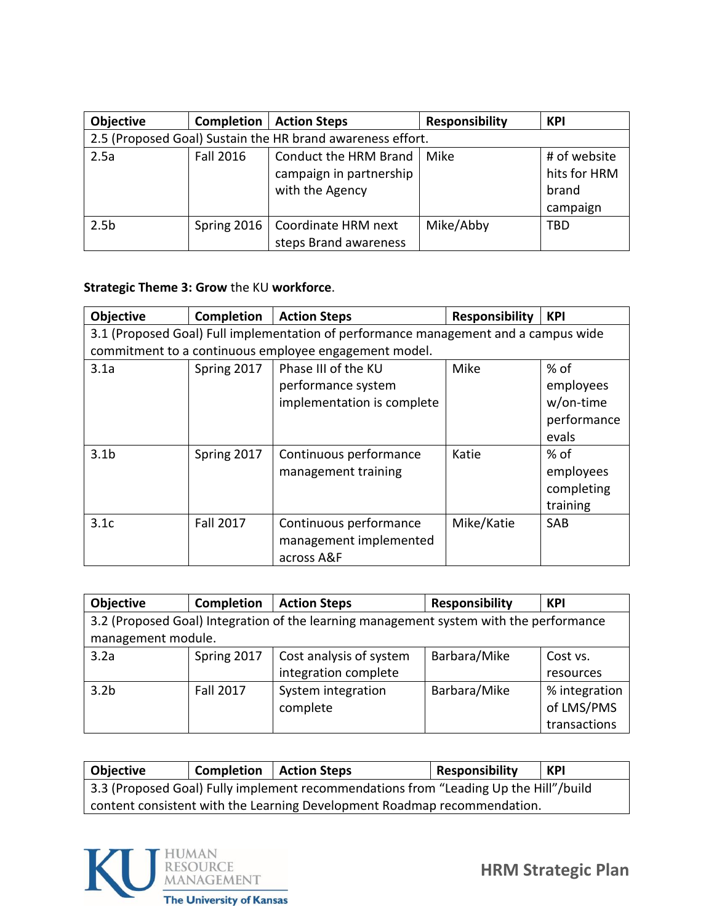| <b>Objective</b> | Completion       | <b>Action Steps</b>                                        | <b>Responsibility</b> | <b>KPI</b>   |
|------------------|------------------|------------------------------------------------------------|-----------------------|--------------|
|                  |                  | 2.5 (Proposed Goal) Sustain the HR brand awareness effort. |                       |              |
| 2.5a             | <b>Fall 2016</b> | Conduct the HRM Brand                                      | Mike                  | # of website |
|                  |                  | campaign in partnership                                    |                       | hits for HRM |
|                  |                  | with the Agency                                            |                       | brand        |
|                  |                  |                                                            |                       | campaign     |
| 2.5 <sub>b</sub> | Spring 2016      | Coordinate HRM next                                        | Mike/Abby             | <b>TBD</b>   |
|                  |                  | steps Brand awareness                                      |                       |              |

## **Strategic Theme 3: Grow** the KU **workforce**.

| Objective                                                                           | Completion  | <b>Action Steps</b>                                   | <b>Responsibility</b> | <b>KPI</b>  |
|-------------------------------------------------------------------------------------|-------------|-------------------------------------------------------|-----------------------|-------------|
| 3.1 (Proposed Goal) Full implementation of performance management and a campus wide |             |                                                       |                       |             |
|                                                                                     |             | commitment to a continuous employee engagement model. |                       |             |
| 3.1a                                                                                | Spring 2017 | Phase III of the KU                                   | Mike                  | % of        |
|                                                                                     |             | performance system                                    |                       | employees   |
|                                                                                     |             | implementation is complete                            |                       | w/on-time   |
|                                                                                     |             |                                                       |                       | performance |
|                                                                                     |             |                                                       |                       | evals       |
| 3.1 <sub>b</sub>                                                                    | Spring 2017 | Continuous performance                                | Katie                 | % of        |
|                                                                                     |             | management training                                   |                       | employees   |
|                                                                                     |             |                                                       |                       | completing  |
|                                                                                     |             |                                                       |                       | training    |
| 3.1c                                                                                | Fall 2017   | Continuous performance                                | Mike/Katie            | <b>SAB</b>  |
|                                                                                     |             | management implemented                                |                       |             |
|                                                                                     |             | across A&F                                            |                       |             |

| Objective                                                                              | <b>Completion</b> | <b>Action Steps</b>     | <b>Responsibility</b> | <b>KPI</b>    |  |
|----------------------------------------------------------------------------------------|-------------------|-------------------------|-----------------------|---------------|--|
| 3.2 (Proposed Goal) Integration of the learning management system with the performance |                   |                         |                       |               |  |
| management module.                                                                     |                   |                         |                       |               |  |
| 3.2a                                                                                   | Spring 2017       | Cost analysis of system | Barbara/Mike          | Cost vs.      |  |
|                                                                                        |                   | integration complete    |                       | resources     |  |
| 3.2 <sub>b</sub>                                                                       | <b>Fall 2017</b>  | System integration      | Barbara/Mike          | % integration |  |
|                                                                                        |                   | complete                |                       | of LMS/PMS    |  |
|                                                                                        |                   |                         |                       | transactions  |  |

**Objective Completion Action Steps Responsibility KPI** 3.3 (Proposed Goal) Fully implement recommendations from "Leading Up the Hill"/build content consistent with the Learning Development Roadmap recommendation.